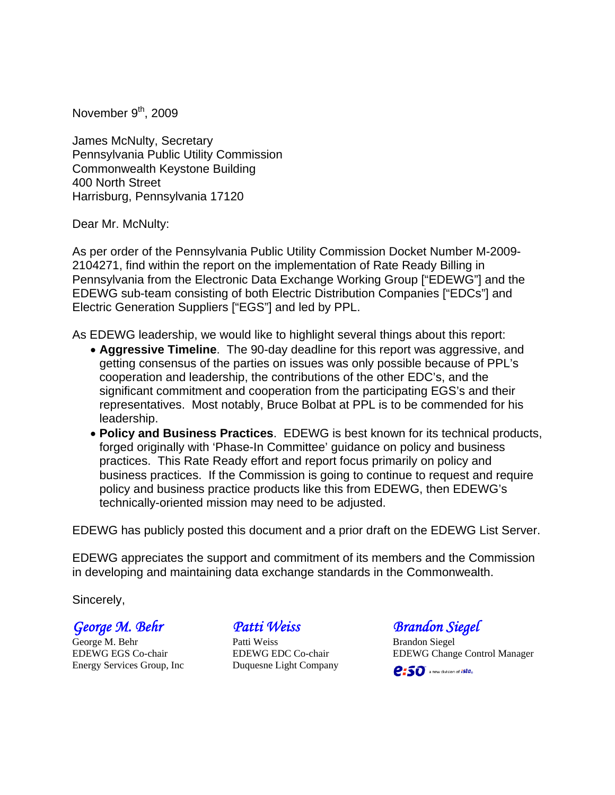November  $9<sup>th</sup>$ , 2009

James McNulty, Secretary Pennsylvania Public Utility Commission Commonwealth Keystone Building 400 North Street Harrisburg, Pennsylvania 17120

Dear Mr. McNulty:

As per order of the Pennsylvania Public Utility Commission Docket Number M-2009- 2104271, find within the report on the implementation of Rate Ready Billing in Pennsylvania from the Electronic Data Exchange Working Group ["EDEWG"] and the EDEWG sub-team consisting of both Electric Distribution Companies ["EDCs"] and Electric Generation Suppliers ["EGS"] and led by PPL.

As EDEWG leadership, we would like to highlight several things about this report:

- **Aggressive Timeline**. The 90-day deadline for this report was aggressive, and getting consensus of the parties on issues was only possible because of PPL's cooperation and leadership, the contributions of the other EDC's, and the significant commitment and cooperation from the participating EGS's and their representatives. Most notably, Bruce Bolbat at PPL is to be commended for his leadership.
- **Policy and Business Practices**. EDEWG is best known for its technical products, forged originally with 'Phase-In Committee' guidance on policy and business practices. This Rate Ready effort and report focus primarily on policy and business practices. If the Commission is going to continue to request and require policy and business practice products like this from EDEWG, then EDEWG's technically-oriented mission may need to be adjusted.

EDEWG has publicly posted this document and a prior draft on the EDEWG List Server.

EDEWG appreciates the support and commitment of its members and the Commission in developing and maintaining data exchange standards in the Commonwealth.

Sincerely,

*George M. Behr*

George M. Behr EDEWG EGS Co-chair Energy Services Group, Inc

*Patti Weiss* 

Patti Weiss EDEWG EDC Co-chair Duquesne Light Company *Brandon Siegel* 

Brandon Siegel EDEWG Change Control Manager

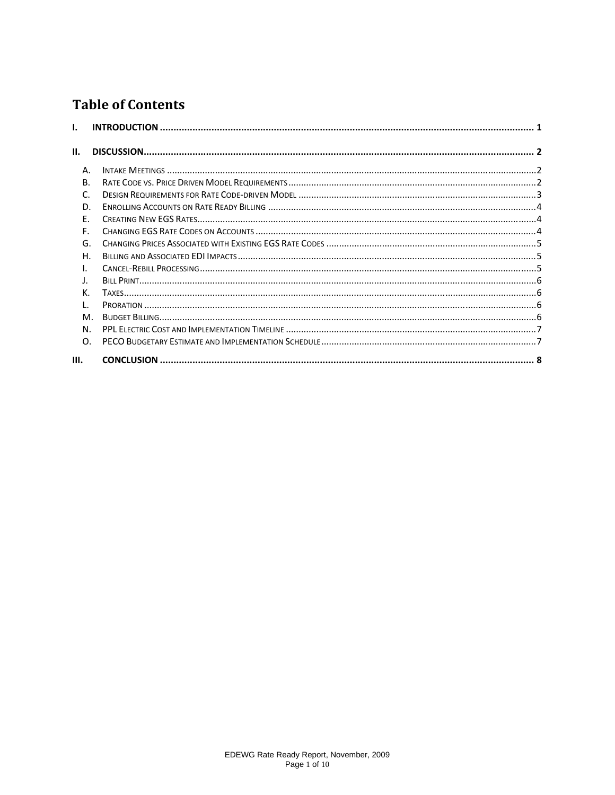# **Table of Contents**

| L.        |  |
|-----------|--|
|           |  |
| П.        |  |
| Α.        |  |
| <b>B.</b> |  |
| C.        |  |
| D.        |  |
| Ε.        |  |
| F.        |  |
| G.        |  |
| Η.        |  |
| I.        |  |
| J.        |  |
| K.        |  |
| L.        |  |
| M.        |  |
| N.        |  |
| O.        |  |
| Ш.        |  |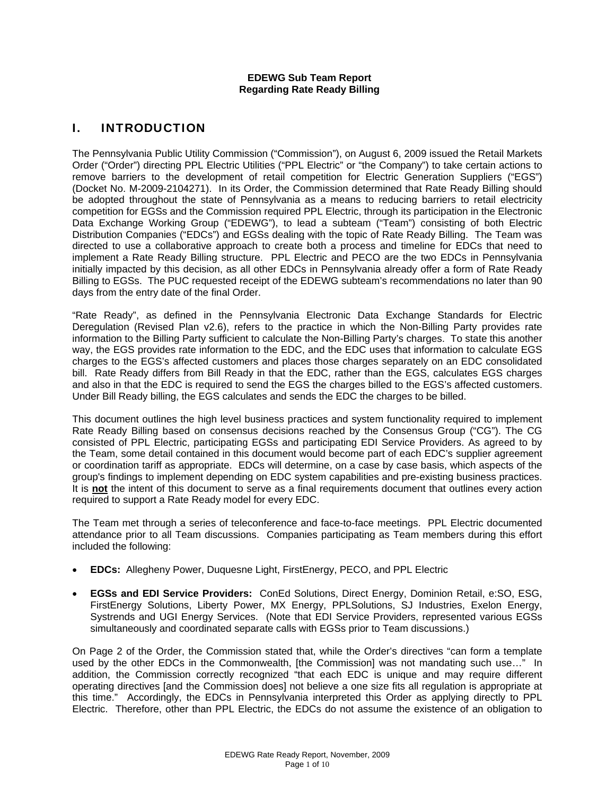#### **EDEWG Sub Team Report Regarding Rate Ready Billing**

# I. INTRODUCTION

The Pennsylvania Public Utility Commission ("Commission"), on August 6, 2009 issued the Retail Markets Order ("Order") directing PPL Electric Utilities ("PPL Electric" or "the Company") to take certain actions to remove barriers to the development of retail competition for Electric Generation Suppliers ("EGS") (Docket No. M-2009-2104271). In its Order, the Commission determined that Rate Ready Billing should be adopted throughout the state of Pennsylvania as a means to reducing barriers to retail electricity competition for EGSs and the Commission required PPL Electric, through its participation in the Electronic Data Exchange Working Group ("EDEWG"), to lead a subteam ("Team") consisting of both Electric Distribution Companies ("EDCs") and EGSs dealing with the topic of Rate Ready Billing. The Team was directed to use a collaborative approach to create both a process and timeline for EDCs that need to implement a Rate Ready Billing structure. PPL Electric and PECO are the two EDCs in Pennsylvania initially impacted by this decision, as all other EDCs in Pennsylvania already offer a form of Rate Ready Billing to EGSs. The PUC requested receipt of the EDEWG subteam's recommendations no later than 90 days from the entry date of the final Order.

"Rate Ready", as defined in the Pennsylvania Electronic Data Exchange Standards for Electric Deregulation (Revised Plan v2.6), refers to the practice in which the Non-Billing Party provides rate information to the Billing Party sufficient to calculate the Non-Billing Party's charges. To state this another way, the EGS provides rate information to the EDC, and the EDC uses that information to calculate EGS charges to the EGS's affected customers and places those charges separately on an EDC consolidated bill. Rate Ready differs from Bill Ready in that the EDC, rather than the EGS, calculates EGS charges and also in that the EDC is required to send the EGS the charges billed to the EGS's affected customers. Under Bill Ready billing, the EGS calculates and sends the EDC the charges to be billed.

This document outlines the high level business practices and system functionality required to implement Rate Ready Billing based on consensus decisions reached by the Consensus Group ("CG"). The CG consisted of PPL Electric, participating EGSs and participating EDI Service Providers. As agreed to by the Team, some detail contained in this document would become part of each EDC's supplier agreement or coordination tariff as appropriate. EDCs will determine, on a case by case basis, which aspects of the group's findings to implement depending on EDC system capabilities and pre-existing business practices. It is **not** the intent of this document to serve as a final requirements document that outlines every action required to support a Rate Ready model for every EDC.

The Team met through a series of teleconference and face-to-face meetings. PPL Electric documented attendance prior to all Team discussions. Companies participating as Team members during this effort included the following:

- **EDCs:** Allegheny Power, Duquesne Light, FirstEnergy, PECO, and PPL Electric
- **EGSs and EDI Service Providers:** ConEd Solutions, Direct Energy, Dominion Retail, e:SO, ESG, FirstEnergy Solutions, Liberty Power, MX Energy, PPLSolutions, SJ Industries, Exelon Energy, Systrends and UGI Energy Services. (Note that EDI Service Providers, represented various EGSs simultaneously and coordinated separate calls with EGSs prior to Team discussions.)

On Page 2 of the Order, the Commission stated that, while the Order's directives "can form a template used by the other EDCs in the Commonwealth, [the Commission] was not mandating such use..." In addition, the Commission correctly recognized "that each EDC is unique and may require different operating directives [and the Commission does] not believe a one size fits all regulation is appropriate at this time." Accordingly, the EDCs in Pennsylvania interpreted this Order as applying directly to PPL Electric. Therefore, other than PPL Electric, the EDCs do not assume the existence of an obligation to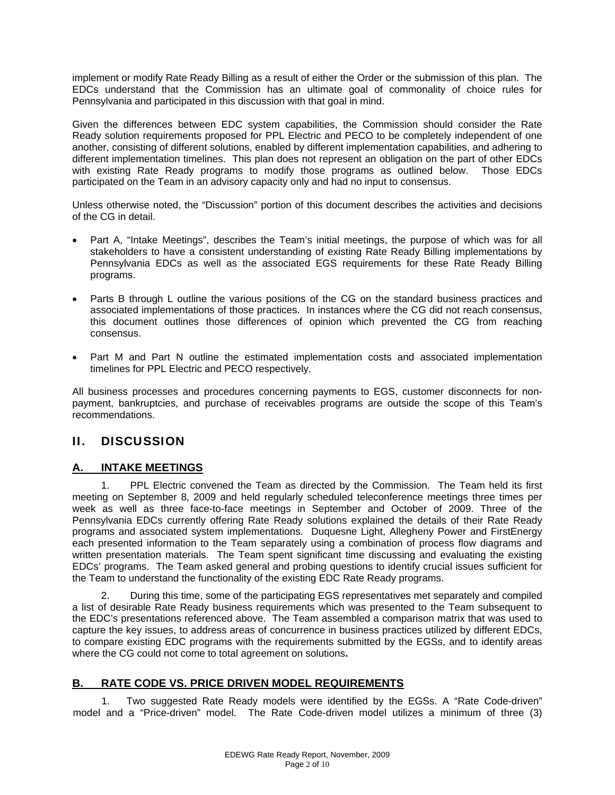implement or modify Rate Ready Billing as a result of either the Order or the submission of this plan. The EDCs understand that the Commission has an ultimate goal of commonality of choice rules for Pennsylvania and participated in this discussion with that goal in mind.

Given the differences between EDC system capabilities, the Commission should consider the Rate Ready solution requirements proposed for PPL Electric and PECO to be completely independent of one another, consisting of different solutions, enabled by different implementation capabilities, and adhering to different implementation timelines. This plan does not represent an obligation on the part of other EDCs with existing Rate Ready programs to modify those programs as outlined below. Those EDCs participated on the Team in an advisory capacity only and had no input to consensus.

Unless otherwise noted, the "Discussion" portion of this document describes the activities and decisions of the CG in detail.

- Part A, "Intake Meetings", describes the Team's initial meetings, the purpose of which was for all stakeholders to have a consistent understanding of existing Rate Ready Billing implementations by Pennsylvania EDCs as well as the associated EGS requirements for these Rate Ready Billing programs.
- Parts B through L outline the various positions of the CG on the standard business practices and associated implementations of those practices. In instances where the CG did not reach consensus, this document outlines those differences of opinion which prevented the CG from reaching consensus.
- Part M and Part N outline the estimated implementation costs and associated implementation timelines for PPL Electric and PECO respectively.

All business processes and procedures concerning payments to EGS, customer disconnects for nonpayment, bankruptcies, and purchase of receivables programs are outside the scope of this Team's recommendations.

# II. DISCUSSION

## **A. INTAKE MEETINGS**

 1. PPL Electric convened the Team as directed by the Commission. The Team held its first meeting on September 8, 2009 and held regularly scheduled teleconference meetings three times per week as well as three face-to-face meetings in September and October of 2009. Three of the Pennsylvania EDCs currently offering Rate Ready solutions explained the details of their Rate Ready programs and associated system implementations. Duquesne Light, Allegheny Power and FirstEnergy each presented information to the Team separately using a combination of process flow diagrams and written presentation materials. The Team spent significant time discussing and evaluating the existing EDCs' programs. The Team asked general and probing questions to identify crucial issues sufficient for the Team to understand the functionality of the existing EDC Rate Ready programs.

 2. During this time, some of the participating EGS representatives met separately and compiled a list of desirable Rate Ready business requirements which was presented to the Team subsequent to the EDC's presentations referenced above. The Team assembled a comparison matrix that was used to capture the key issues, to address areas of concurrence in business practices utilized by different EDCs, to compare existing EDC programs with the requirements submitted by the EGSs, and to identify areas where the CG could not come to total agreement on solutions**.** 

# **B. RATE CODE VS. PRICE DRIVEN MODEL REQUIREMENTS**

1. Two suggested Rate Ready models were identified by the EGSs. A "Rate Code-driven" model and a "Price-driven" model. The Rate Code-driven model utilizes a minimum of three (3)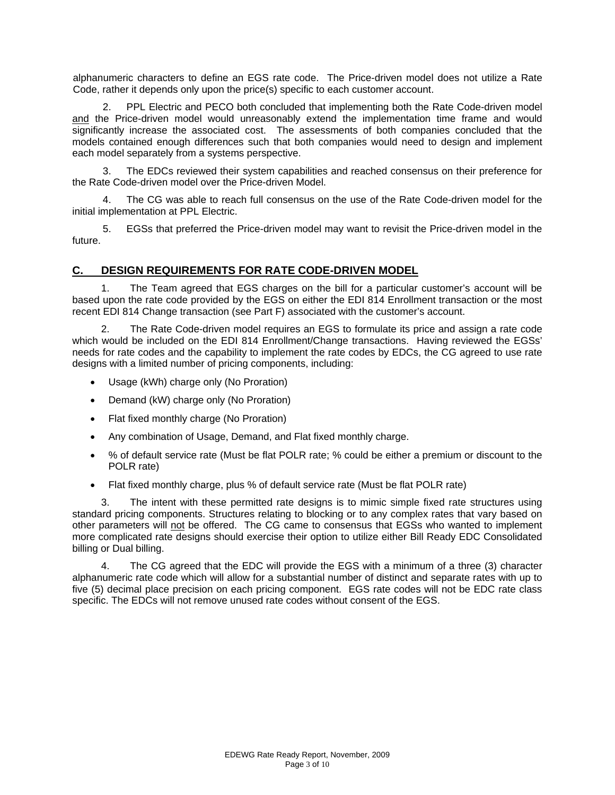alphanumeric characters to define an EGS rate code. The Price-driven model does not utilize a Rate Code, rather it depends only upon the price(s) specific to each customer account.

2. PPL Electric and PECO both concluded that implementing both the Rate Code-driven model and the Price-driven model would unreasonably extend the implementation time frame and would significantly increase the associated cost. The assessments of both companies concluded that the models contained enough differences such that both companies would need to design and implement each model separately from a systems perspective.

3. The EDCs reviewed their system capabilities and reached consensus on their preference for the Rate Code-driven model over the Price-driven Model.

4. The CG was able to reach full consensus on the use of the Rate Code-driven model for the initial implementation at PPL Electric.

5. EGSs that preferred the Price-driven model may want to revisit the Price-driven model in the future.

#### **C. DESIGN REQUIREMENTS FOR RATE CODE-DRIVEN MODEL**

 1. The Team agreed that EGS charges on the bill for a particular customer's account will be based upon the rate code provided by the EGS on either the EDI 814 Enrollment transaction or the most recent EDI 814 Change transaction (see Part F) associated with the customer's account.

 2. The Rate Code-driven model requires an EGS to formulate its price and assign a rate code which would be included on the EDI 814 Enrollment/Change transactions. Having reviewed the EGSs' needs for rate codes and the capability to implement the rate codes by EDCs, the CG agreed to use rate designs with a limited number of pricing components, including:

- Usage (kWh) charge only (No Proration)
- Demand (kW) charge only (No Proration)
- Flat fixed monthly charge (No Proration)
- Any combination of Usage, Demand, and Flat fixed monthly charge.
- % of default service rate (Must be flat POLR rate; % could be either a premium or discount to the POLR rate)
- Flat fixed monthly charge, plus % of default service rate (Must be flat POLR rate)

 3. The intent with these permitted rate designs is to mimic simple fixed rate structures using standard pricing components. Structures relating to blocking or to any complex rates that vary based on other parameters will not be offered. The CG came to consensus that EGSs who wanted to implement more complicated rate designs should exercise their option to utilize either Bill Ready EDC Consolidated billing or Dual billing.

 4. The CG agreed that the EDC will provide the EGS with a minimum of a three (3) character alphanumeric rate code which will allow for a substantial number of distinct and separate rates with up to five (5) decimal place precision on each pricing component. EGS rate codes will not be EDC rate class specific. The EDCs will not remove unused rate codes without consent of the EGS.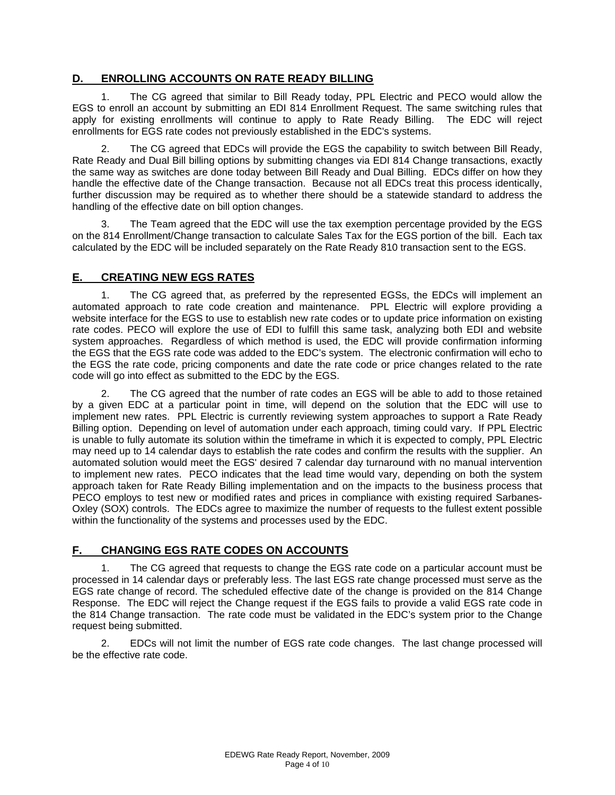## **D. ENROLLING ACCOUNTS ON RATE READY BILLING**

 1. The CG agreed that similar to Bill Ready today, PPL Electric and PECO would allow the EGS to enroll an account by submitting an EDI 814 Enrollment Request. The same switching rules that apply for existing enrollments will continue to apply to Rate Ready Billing. The EDC will reject enrollments for EGS rate codes not previously established in the EDC's systems.

 2. The CG agreed that EDCs will provide the EGS the capability to switch between Bill Ready, Rate Ready and Dual Bill billing options by submitting changes via EDI 814 Change transactions, exactly the same way as switches are done today between Bill Ready and Dual Billing. EDCs differ on how they handle the effective date of the Change transaction. Because not all EDCs treat this process identically, further discussion may be required as to whether there should be a statewide standard to address the handling of the effective date on bill option changes.

3. The Team agreed that the EDC will use the tax exemption percentage provided by the EGS on the 814 Enrollment/Change transaction to calculate Sales Tax for the EGS portion of the bill. Each tax calculated by the EDC will be included separately on the Rate Ready 810 transaction sent to the EGS.

## **E. CREATING NEW EGS RATES**

 1. The CG agreed that, as preferred by the represented EGSs, the EDCs will implement an automated approach to rate code creation and maintenance. PPL Electric will explore providing a website interface for the EGS to use to establish new rate codes or to update price information on existing rate codes. PECO will explore the use of EDI to fulfill this same task, analyzing both EDI and website system approaches. Regardless of which method is used, the EDC will provide confirmation informing the EGS that the EGS rate code was added to the EDC's system. The electronic confirmation will echo to the EGS the rate code, pricing components and date the rate code or price changes related to the rate code will go into effect as submitted to the EDC by the EGS.

 2. The CG agreed that the number of rate codes an EGS will be able to add to those retained by a given EDC at a particular point in time, will depend on the solution that the EDC will use to implement new rates. PPL Electric is currently reviewing system approaches to support a Rate Ready Billing option. Depending on level of automation under each approach, timing could vary. If PPL Electric is unable to fully automate its solution within the timeframe in which it is expected to comply, PPL Electric may need up to 14 calendar days to establish the rate codes and confirm the results with the supplier. An automated solution would meet the EGS' desired 7 calendar day turnaround with no manual intervention to implement new rates. PECO indicates that the lead time would vary, depending on both the system approach taken for Rate Ready Billing implementation and on the impacts to the business process that PECO employs to test new or modified rates and prices in compliance with existing required Sarbanes-Oxley (SOX) controls. The EDCs agree to maximize the number of requests to the fullest extent possible within the functionality of the systems and processes used by the EDC.

# **F. CHANGING EGS RATE CODES ON ACCOUNTS**

 1. The CG agreed that requests to change the EGS rate code on a particular account must be processed in 14 calendar days or preferably less. The last EGS rate change processed must serve as the EGS rate change of record. The scheduled effective date of the change is provided on the 814 Change Response. The EDC will reject the Change request if the EGS fails to provide a valid EGS rate code in the 814 Change transaction. The rate code must be validated in the EDC's system prior to the Change request being submitted.

 2. EDCs will not limit the number of EGS rate code changes. The last change processed will be the effective rate code.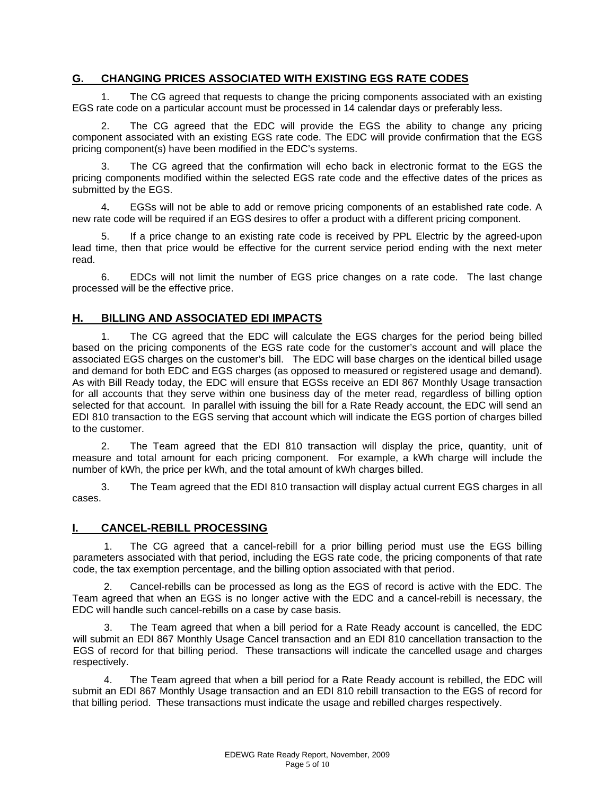## **G. CHANGING PRICES ASSOCIATED WITH EXISTING EGS RATE CODES**

 1. The CG agreed that requests to change the pricing components associated with an existing EGS rate code on a particular account must be processed in 14 calendar days or preferably less.

 2. The CG agreed that the EDC will provide the EGS the ability to change any pricing component associated with an existing EGS rate code. The EDC will provide confirmation that the EGS pricing component(s) have been modified in the EDC's systems.

The CG agreed that the confirmation will echo back in electronic format to the EGS the pricing components modified within the selected EGS rate code and the effective dates of the prices as submitted by the EGS.

4**.** EGSs will not be able to add or remove pricing components of an established rate code. A new rate code will be required if an EGS desires to offer a product with a different pricing component.

 5. If a price change to an existing rate code is received by PPL Electric by the agreed-upon lead time, then that price would be effective for the current service period ending with the next meter read.

 6. EDCs will not limit the number of EGS price changes on a rate code. The last change processed will be the effective price.

#### **H. BILLING AND ASSOCIATED EDI IMPACTS**

 1. The CG agreed that the EDC will calculate the EGS charges for the period being billed based on the pricing components of the EGS rate code for the customer's account and will place the associated EGS charges on the customer's bill. The EDC will base charges on the identical billed usage and demand for both EDC and EGS charges (as opposed to measured or registered usage and demand). As with Bill Ready today, the EDC will ensure that EGSs receive an EDI 867 Monthly Usage transaction for all accounts that they serve within one business day of the meter read, regardless of billing option selected for that account. In parallel with issuing the bill for a Rate Ready account, the EDC will send an EDI 810 transaction to the EGS serving that account which will indicate the EGS portion of charges billed to the customer.

 2. The Team agreed that the EDI 810 transaction will display the price, quantity, unit of measure and total amount for each pricing component. For example, a kWh charge will include the number of kWh, the price per kWh, and the total amount of kWh charges billed.

 3. The Team agreed that the EDI 810 transaction will display actual current EGS charges in all cases.

#### **I. CANCEL-REBILL PROCESSING**

1. The CG agreed that a cancel-rebill for a prior billing period must use the EGS billing parameters associated with that period, including the EGS rate code, the pricing components of that rate code, the tax exemption percentage, and the billing option associated with that period.

2. Cancel-rebills can be processed as long as the EGS of record is active with the EDC. The Team agreed that when an EGS is no longer active with the EDC and a cancel-rebill is necessary, the EDC will handle such cancel-rebills on a case by case basis.

3. The Team agreed that when a bill period for a Rate Ready account is cancelled, the EDC will submit an EDI 867 Monthly Usage Cancel transaction and an EDI 810 cancellation transaction to the EGS of record for that billing period. These transactions will indicate the cancelled usage and charges respectively.

4. The Team agreed that when a bill period for a Rate Ready account is rebilled, the EDC will submit an EDI 867 Monthly Usage transaction and an EDI 810 rebill transaction to the EGS of record for that billing period. These transactions must indicate the usage and rebilled charges respectively.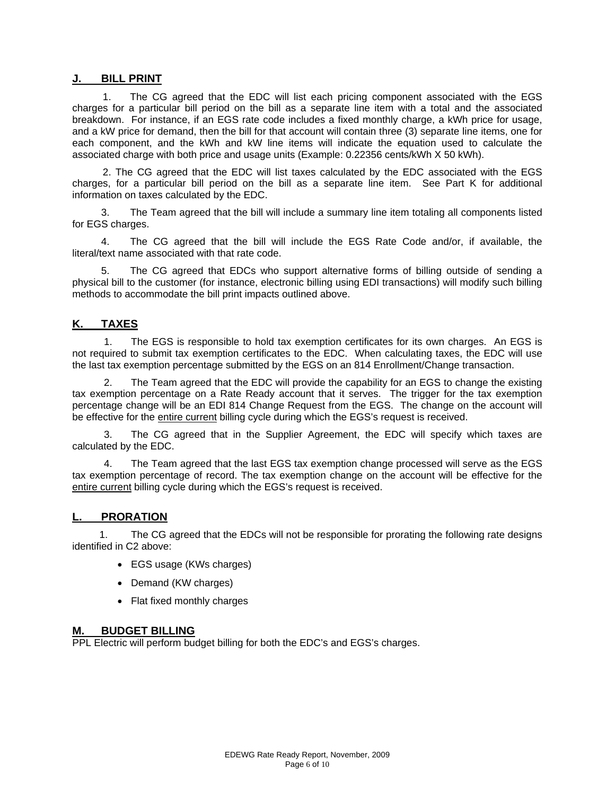#### **J. BILL PRINT**

1. The CG agreed that the EDC will list each pricing component associated with the EGS charges for a particular bill period on the bill as a separate line item with a total and the associated breakdown. For instance, if an EGS rate code includes a fixed monthly charge, a kWh price for usage, and a kW price for demand, then the bill for that account will contain three (3) separate line items, one for each component, and the kWh and kW line items will indicate the equation used to calculate the associated charge with both price and usage units (Example: 0.22356 cents/kWh X 50 kWh).

2. The CG agreed that the EDC will list taxes calculated by the EDC associated with the EGS charges, for a particular bill period on the bill as a separate line item. See Part K for additional information on taxes calculated by the EDC.

 3. The Team agreed that the bill will include a summary line item totaling all components listed for EGS charges.

 4. The CG agreed that the bill will include the EGS Rate Code and/or, if available, the literal/text name associated with that rate code.

 5. The CG agreed that EDCs who support alternative forms of billing outside of sending a physical bill to the customer (for instance, electronic billing using EDI transactions) will modify such billing methods to accommodate the bill print impacts outlined above.

#### **K. TAXES**

1. The EGS is responsible to hold tax exemption certificates for its own charges. An EGS is not required to submit tax exemption certificates to the EDC. When calculating taxes, the EDC will use the last tax exemption percentage submitted by the EGS on an 814 Enrollment/Change transaction.

2. The Team agreed that the EDC will provide the capability for an EGS to change the existing tax exemption percentage on a Rate Ready account that it serves. The trigger for the tax exemption percentage change will be an EDI 814 Change Request from the EGS. The change on the account will be effective for the entire current billing cycle during which the EGS's request is received.

The CG agreed that in the Supplier Agreement, the EDC will specify which taxes are calculated by the EDC.

The Team agreed that the last EGS tax exemption change processed will serve as the EGS tax exemption percentage of record. The tax exemption change on the account will be effective for the entire current billing cycle during which the EGS's request is received.

#### **L. PRORATION**

1. The CG agreed that the EDCs will not be responsible for prorating the following rate designs identified in C2 above:

- EGS usage (KWs charges)
- Demand (KW charges)
- Flat fixed monthly charges

#### **M. BUDGET BILLING**

PPL Electric will perform budget billing for both the EDC's and EGS's charges.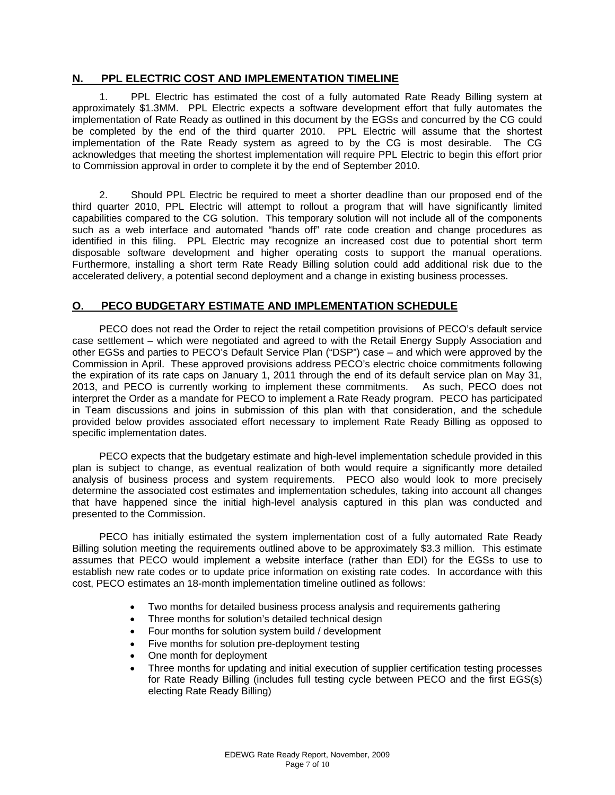#### **N. PPL ELECTRIC COST AND IMPLEMENTATION TIMELINE**

1. PPL Electric has estimated the cost of a fully automated Rate Ready Billing system at approximately \$1.3MM. PPL Electric expects a software development effort that fully automates the implementation of Rate Ready as outlined in this document by the EGSs and concurred by the CG could be completed by the end of the third quarter 2010. PPL Electric will assume that the shortest implementation of the Rate Ready system as agreed to by the CG is most desirable. The CG acknowledges that meeting the shortest implementation will require PPL Electric to begin this effort prior to Commission approval in order to complete it by the end of September 2010.

2. Should PPL Electric be required to meet a shorter deadline than our proposed end of the third quarter 2010, PPL Electric will attempt to rollout a program that will have significantly limited capabilities compared to the CG solution. This temporary solution will not include all of the components such as a web interface and automated "hands off" rate code creation and change procedures as identified in this filing. PPL Electric may recognize an increased cost due to potential short term disposable software development and higher operating costs to support the manual operations. Furthermore, installing a short term Rate Ready Billing solution could add additional risk due to the accelerated delivery, a potential second deployment and a change in existing business processes.

#### **O. PECO BUDGETARY ESTIMATE AND IMPLEMENTATION SCHEDULE**

PECO does not read the Order to reject the retail competition provisions of PECO's default service case settlement – which were negotiated and agreed to with the Retail Energy Supply Association and other EGSs and parties to PECO's Default Service Plan ("DSP") case – and which were approved by the Commission in April. These approved provisions address PECO's electric choice commitments following the expiration of its rate caps on January 1, 2011 through the end of its default service plan on May 31, 2013, and PECO is currently working to implement these commitments. As such, PECO does not interpret the Order as a mandate for PECO to implement a Rate Ready program. PECO has participated in Team discussions and joins in submission of this plan with that consideration, and the schedule provided below provides associated effort necessary to implement Rate Ready Billing as opposed to specific implementation dates.

PECO expects that the budgetary estimate and high-level implementation schedule provided in this plan is subject to change, as eventual realization of both would require a significantly more detailed analysis of business process and system requirements. PECO also would look to more precisely determine the associated cost estimates and implementation schedules, taking into account all changes that have happened since the initial high-level analysis captured in this plan was conducted and presented to the Commission.

PECO has initially estimated the system implementation cost of a fully automated Rate Ready Billing solution meeting the requirements outlined above to be approximately \$3.3 million. This estimate assumes that PECO would implement a website interface (rather than EDI) for the EGSs to use to establish new rate codes or to update price information on existing rate codes. In accordance with this cost, PECO estimates an 18-month implementation timeline outlined as follows:

- Two months for detailed business process analysis and requirements gathering
- Three months for solution's detailed technical design
- Four months for solution system build / development
- Five months for solution pre-deployment testing
- One month for deployment
- Three months for updating and initial execution of supplier certification testing processes for Rate Ready Billing (includes full testing cycle between PECO and the first EGS(s) electing Rate Ready Billing)